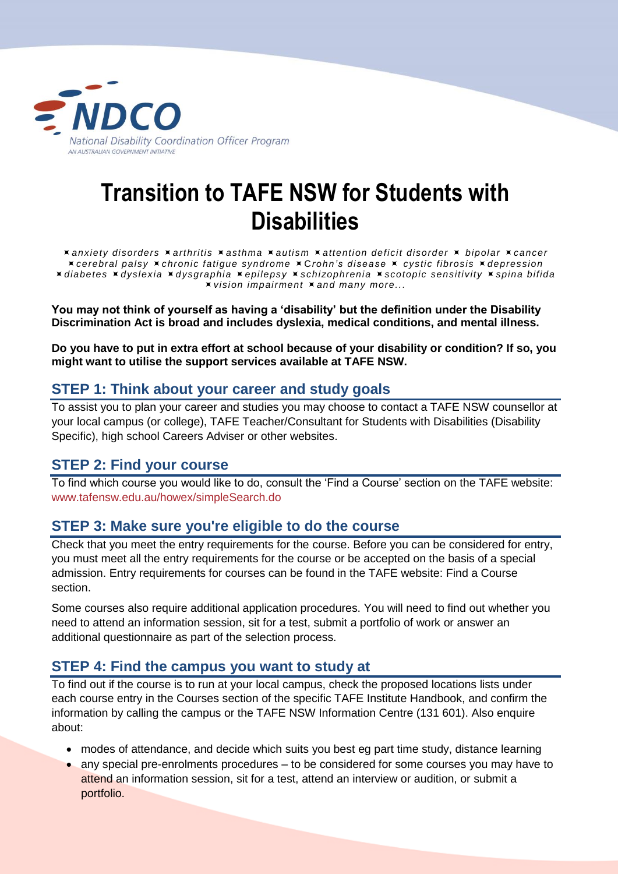

# **Transition to TAFE NSW for Students with Disabilities**

*anxiety disorders arthritis asthma autism attention deficit disorder bipolar cancer cerebral palsy chronic fatigue syndrome* C*rohn's disease cystic fibrosis depression diabetes dyslexia dysgraphia epilepsy schizophrenia scotopic sensitivity spina bifida vision impairment and many more...*

**You may not think of yourself as having a 'disability' but the definition under the Disability Discrimination Act is broad and includes dyslexia, medical conditions, and mental illness.** 

**Do you have to put in extra effort at school because of your disability or condition? If so, you might want to utilise the support services available at TAFE NSW.**

### **STEP 1: Think about your career and study goals**

To assist you to plan your career and studies you may choose to contact a TAFE NSW counsellor at your local campus (or college), TAFE Teacher/Consultant for Students with Disabilities (Disability Specific), high school Careers Adviser or other websites.

## **STEP 2: Find your course**

To find which course you would like to do, consult the 'Find a Course' section on the TAFE website: [www.tafensw.edu.au/howex/simpleSearch.do](http://www.tafensw.edu.au/howex/simpleSearch.do)

#### **STEP 3: Make sure you're eligible to do the course**

Check that you meet the entry requirements for the course. Before you can be considered for entry, you must meet all the entry requirements for the course or be accepted on the basis of a special admission. Entry requirements for courses can be found in the TAFE website: Find a Course section.

Some courses also require additional application procedures. You will need to find out whether you need to attend an information session, sit for a test, submit a portfolio of work or answer an additional questionnaire as part of the selection process.

#### **STEP 4: Find the campus you want to study at**

To find out if the course is to run at your local campus, check the proposed locations lists under each course entry in the Courses section of the specific TAFE Institute Handbook, and confirm the information by calling the campus or the TAFE NSW Information Centre (131 601). Also enquire about:

- modes of attendance, and decide which suits you best eg part time study, distance learning
- any special pre-enrolments procedures to be considered for some courses you may have to attend an information session, sit for a test, attend an interview or audition, or submit a portfolio.